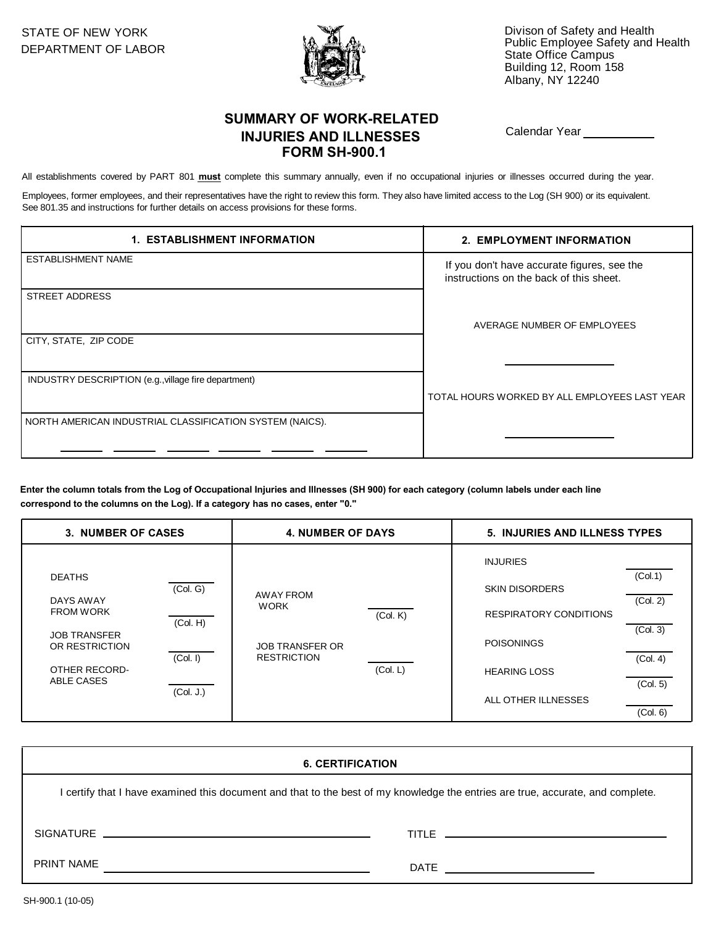

STATE OF NEW YORK **Divison of Safety and Health** Divison of Safety and Health DEPARTMENT OF LABOR Public Employee Safety and Health<br>DEPARTMENT OF LABOR State Office Campus Building 12, Room 158 Albany, NY 12240

## **SUMMARY OF WORK-RELATED** Calendar Year **INJURIES AND ILLNESSES FORM SH-900.1**

All establishments covered by PART 801 **must** complete this summary annually, even if no occupational injuries or illnesses occurred during the year.

Employees, former employees, and their representatives have the right to review this form. They also have limited access to the Log (SH 900) or its equivalent. See 801.35 and instructions for further details on access provisions for these forms.

| <b>1. ESTABLISHMENT INFORMATION</b>                      | 2. EMPLOYMENT INFORMATION                                                              |  |
|----------------------------------------------------------|----------------------------------------------------------------------------------------|--|
| ESTABLISHMENT NAME                                       | If you don't have accurate figures, see the<br>instructions on the back of this sheet. |  |
| <b>STREET ADDRESS</b>                                    |                                                                                        |  |
|                                                          | AVERAGE NUMBER OF EMPLOYEES                                                            |  |
| CITY, STATE, ZIP CODE                                    |                                                                                        |  |
| INDUSTRY DESCRIPTION (e.g., village fire department)     | TOTAL HOURS WORKED BY ALL EMPLOYEES LAST YEAR                                          |  |
| NORTH AMERICAN INDUSTRIAL CLASSIFICATION SYSTEM (NAICS). |                                                                                        |  |
|                                                          |                                                                                        |  |

**Enter the column totals from the Log of Occupational Injuries and Illnesses (SH 900) for each category (column labels under each line correspond to the columns on the Log). If a category has no cases, enter "0."**

| 3. NUMBER OF CASES                                                                                                                                                             | <b>4. NUMBER OF DAYS</b>                                                                                | 5. INJURIES AND ILLNESS TYPES                                                                                                                                                                                       |  |
|--------------------------------------------------------------------------------------------------------------------------------------------------------------------------------|---------------------------------------------------------------------------------------------------------|---------------------------------------------------------------------------------------------------------------------------------------------------------------------------------------------------------------------|--|
| <b>DEATHS</b><br>(Col. G)<br>DAYS AWAY<br><b>FROM WORK</b><br>(Col. H)<br><b>JOB TRANSFER</b><br>OR RESTRICTION<br>(Col. I)<br>OTHER RECORD-<br><b>ABLE CASES</b><br>(Col. J.) | <b>AWAY FROM</b><br><b>WORK</b><br>(Col. K)<br><b>JOB TRANSFER OR</b><br><b>RESTRICTION</b><br>(Col. L) | <b>INJURIES</b><br>(Col.1)<br><b>SKIN DISORDERS</b><br>(Col. 2)<br><b>RESPIRATORY CONDITIONS</b><br>(Col. 3)<br><b>POISONINGS</b><br>(Col. 4)<br><b>HEARING LOSS</b><br>(Col. 5)<br>ALL OTHER ILLNESSES<br>(Col. 6) |  |

| <b>6. CERTIFICATION</b>                                                                                                       |  |  |  |  |
|-------------------------------------------------------------------------------------------------------------------------------|--|--|--|--|
| certify that I have examined this document and that to the best of my knowledge the entries are true, accurate, and complete. |  |  |  |  |
|                                                                                                                               |  |  |  |  |
| <b>PRINT NAME</b>                                                                                                             |  |  |  |  |